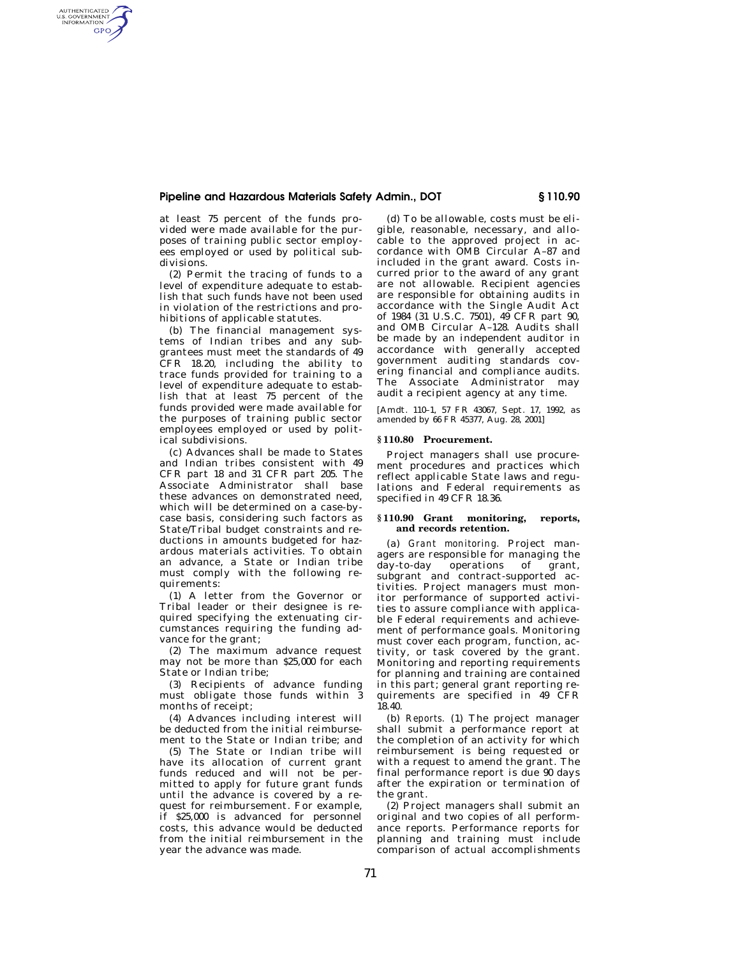# **Pipeline and Hazardous Materials Safety Admin., DOT § 110.90**

at least 75 percent of the funds provided were made available for the purposes of training public sector employees employed or used by political subdivisions.

AUTHENTICATED<br>U.S. GOVERNMENT<br>INFORMATION **GPO** 

> (2) Permit the tracing of funds to a level of expenditure adequate to establish that such funds have not been used in violation of the restrictions and prohibitions of applicable statutes.

(b) The financial management systems of Indian tribes and any subgrantees must meet the standards of 49 CFR 18.20, including the ability to trace funds provided for training to a level of expenditure adequate to establish that at least 75 percent of the funds provided were made available for the purposes of training public sector employees employed or used by political subdivisions.

(c) Advances shall be made to States and Indian tribes consistent with 49 CFR part 18 and 31 CFR part 205. The Associate Administrator shall base these advances on demonstrated need, which will be determined on a case-bycase basis, considering such factors as State/Tribal budget constraints and reductions in amounts budgeted for hazardous materials activities. To obtain an advance, a State or Indian tribe must comply with the following requirements:

(1) A letter from the Governor or Tribal leader or their designee is required specifying the extenuating circumstances requiring the funding advance for the grant;

(2) The maximum advance request may not be more than \$25,000 for each State or Indian tribe;

(3) Recipients of advance funding must obligate those funds within 3 months of receipt;

(4) Advances including interest will be deducted from the initial reimbursement to the State or Indian tribe; and

(5) The State or Indian tribe will have its allocation of current grant funds reduced and will not be permitted to apply for future grant funds until the advance is covered by a request for reimbursement. For example, if \$25,000 is advanced for personnel costs, this advance would be deducted from the initial reimbursement in the year the advance was made.

(d) To be allowable, costs must be eligible, reasonable, necessary, and allocable to the approved project in accordance with OMB Circular A–87 and included in the grant award. Costs incurred prior to the award of any grant are not allowable. Recipient agencies are responsible for obtaining audits in accordance with the Single Audit Act of 1984 (31 U.S.C. 7501), 49 CFR part 90, and OMB Circular A–128. Audits shall be made by an independent auditor in accordance with generally accepted government auditing standards covering financial and compliance audits. The Associate Administrator may audit a recipient agency at any time.

[Amdt. 110–1, 57 FR 43067, Sept. 17, 1992, as amended by 66 FR 45377, Aug. 28, 2001]

## **§ 110.80 Procurement.**

Project managers shall use procurement procedures and practices which reflect applicable State laws and regulations and Federal requirements as specified in 49 CFR 18.36.

### **§ 110.90 Grant monitoring, reports, and records retention.**

(a) *Grant monitoring.* Project managers are responsible for managing the day-to-day operations of grant, subgrant and contract-supported activities. Project managers must monitor performance of supported activities to assure compliance with applicable Federal requirements and achievement of performance goals. Monitoring must cover each program, function, activity, or task covered by the grant. Monitoring and reporting requirements for planning and training are contained in this part; general grant reporting requirements are specified in 49 CFR 18.40.

(b) *Reports.* (1) The project manager shall submit a performance report at the completion of an activity for which reimbursement is being requested or with a request to amend the grant. The final performance report is due 90 days after the expiration or termination of the grant.

(2) Project managers shall submit an original and two copies of all performance reports. Performance reports for planning and training must include comparison of actual accomplishments